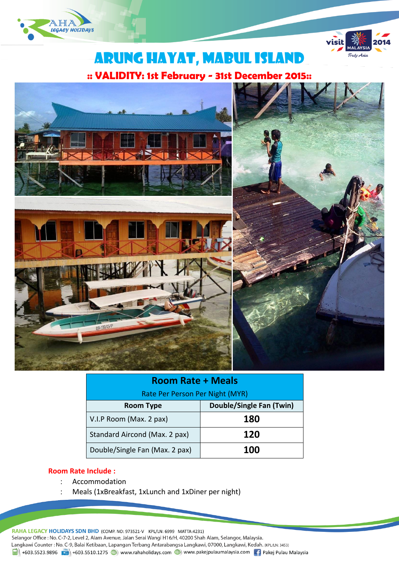



# Arung hayat, MABUL ISLAND

**:: VALIDITY: 1st February - 31st December 2015::**



| <b>Room Rate + Meals</b>        |                          |  |
|---------------------------------|--------------------------|--|
| Rate Per Person Per Night (MYR) |                          |  |
| <b>Room Type</b>                | Double/Single Fan (Twin) |  |
| V.I.P Room (Max. 2 pax)         | 180                      |  |
| Standard Aircond (Max. 2 pax)   | 120                      |  |
| Double/Single Fan (Max. 2 pax)  | 100                      |  |

### **Room Rate Include :**

- Accommodation
- Meals (1xBreakfast, 1xLunch and 1xDiner per night)

RAHA LEGACY HOLIDAYS SDN BHD (COMP. NO: 973521-V KPL/LN: 6999 MATTA:4231) Selangor Office : No. C-7-2, Level 2, Alam Avenue, Jalan Serai Wangi H16/H, 40200 Shah Alam, Selangor, Malaysia. Langkawi Counter: No. C-9, Balai Ketibaan, Lapangan Terbang Antarabangsa Langkawi, 07000, Langkawi, Kedah. (KPL/LN: 3453)  $\frac{1}{21}$  +603.5523.9896  $\frac{1}{21}$  +603.5510.1275  $\bigoplus$  www.rahaholidays.com  $\bigoplus$  www.pakejpulaumalaysia.com  $\bigoplus$  Pakej Pulau Malaysia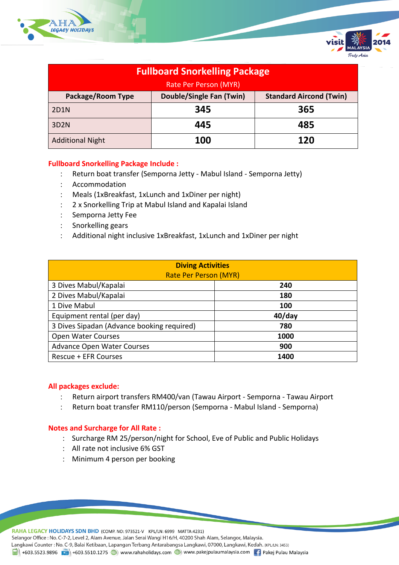

| <b>Fullboard Snorkelling Package</b> |                                 |                                |
|--------------------------------------|---------------------------------|--------------------------------|
| Rate Per Person (MYR)                |                                 |                                |
| <b>Package/Room Type</b>             | <b>Double/Single Fan (Twin)</b> | <b>Standard Aircond (Twin)</b> |
| 2D1N                                 | 345                             | 365                            |
| 3D2N                                 | 445                             | 485                            |
| <b>Additional Night</b>              | 100                             | 120                            |

### **Fullboard Snorkelling Package Include :**

- Return boat transfer (Semporna Jetty Mabul Island Semporna Jetty)
- Accommodation
- Meals (1xBreakfast, 1xLunch and 1xDiner per night)
- 2 x Snorkelling Trip at Mabul Island and Kapalai Island
- : Semporna Jetty Fee
- Snorkelling gears
- Additional night inclusive 1xBreakfast, 1xLunch and 1xDiner per night

| <b>Diving Activities</b><br><b>Rate Per Person (MYR)</b> |           |  |  |
|----------------------------------------------------------|-----------|--|--|
| 3 Dives Mabul/Kapalai                                    | 240       |  |  |
| 2 Dives Mabul/Kapalai                                    | 180       |  |  |
| 1 Dive Mabul                                             | 100       |  |  |
| Equipment rental (per day)                               | $40$ /day |  |  |
| 3 Dives Sipadan (Advance booking required)               | 780       |  |  |
| Open Water Courses                                       | 1000      |  |  |
| <b>Advance Open Water Courses</b>                        | 900       |  |  |
| Rescue + EFR Courses                                     | 1400      |  |  |

### **All packages exclude:**

- Return airport transfers RM400/van (Tawau Airport Semporna Tawau Airport
- Return boat transfer RM110/person (Semporna Mabul Island Semporna)

### **Notes and Surcharge for All Rate :**

- Surcharge RM 25/person/night for School, Eve of Public and Public Holidays
- All rate not inclusive 6% GST
- Minimum 4 person per booking

RAHA LEGACY HOLIDAYS SDN BHD (COMP. NO: 973521-V KPL/LN: 6999 MATTA:4231) Selangor Office : No. C-7-2, Level 2, Alam Avenue, Jalan Serai Wangi H16/H, 40200 Shah Alam, Selangor, Malaysia. Langkawi Counter: No. C-9, Balai Ketibaan, Lapangan Terbang Antarabangsa Langkawi, 07000, Langkawi, Kedah. (KPL/LN: 3453) 1988 +603.5523.9896 + +603.5510.1275 + +603.5510.1275 + +603.5510.1275 + +603.5510.1275 + +603.5510.1275 + +603.5510.1275 + +603.5510.1275 + +603.5510.1275 + +603.5510.1275 + +603.5510.1275 + +603.5510.1275 + +603.5510.127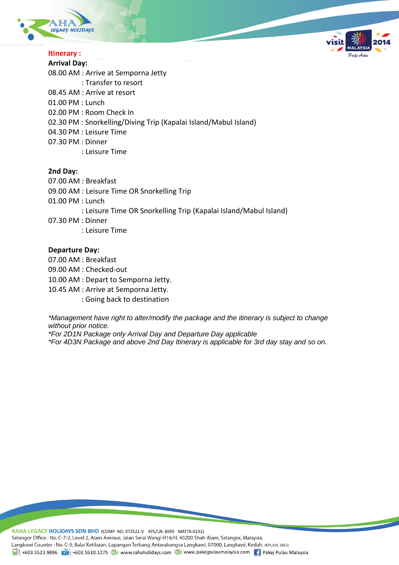



### **Itinerary :**

**Arrival Day:** 08.00 AM : Arrive at Semporna Jetty : Transfer to resort 08.45 AM : Arrive at resort 01.00 PM : Lunch 02.00 PM : Room Check In 02.30 PM : Snorkelling/Diving Trip (Kapalai Island/Mabul Island) 04.30 PM : Leisure Time 07.30 PM : Dinner : Leisure Time

#### **2nd Day:**

- 07.00 AM : Breakfast
- 09.00 AM : Leisure Time OR Snorkelling Trip
- 01.00 PM : Lunch
	- : Leisure Time OR Snorkelling Trip (Kapalai Island/Mabul Island)
- 07.30 PM : Dinner
	- : Leisure Time

#### **Departure Day:**

- 07.00 AM : Breakfast
- 09.00 AM : Checked-out

10.00 AM : Depart to Semporna Jetty.

- 10.45 AM : Arrive at Semporna Jetty.
	- : Going back to destination

*\*Management have right to alter/modify the package and the itinerary is subject to change without prior notice.*

*\*For 2D1N Package only Arrival Day and Departure Day applicable*

*\*For 4D3N Package and above 2nd Day Itinerary is applicable for 3rd day stay and so on.*

RAHA LEGACY HOLIDAYS SDN BHD (COMP. NO: 973521-V KPL/LN: 6999 MATTA:4231) Selangor Office : No. C-7-2, Level 2, Alam Avenue, Jalan Serai Wangi H16/H, 40200 Shah Alam, Selangor, Malaysia. Langkawi Counter : No. C-9, Balai Ketibaan, Lapangan Terbang Antarabangsa Langkawi, 07000, Langkawi, Kedah. (KPL/LN: 3453) 1988 +603.5523.9896 + +603.5510.1275 + +603.5510.1275 + +603.5510.1275 + +603.5510.1275 + +603.5510.1275 + +603.5510.1275 + +603.5510.1275 + +603.5510.1275 + +603.5510.1275 + +603.5510.1275 + +603.5510.1275 + +603.5510.127